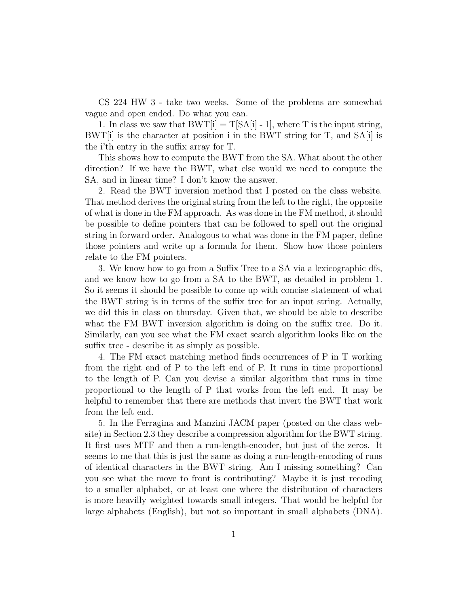CS 224 HW 3 - take two weeks. Some of the problems are somewhat vague and open ended. Do what you can.

1. In class we saw that  $BWT[i] = T[SA[i] - 1]$ , where T is the input string,  $BWT[i]$  is the character at position i in the BWT string for T, and  $SA[i]$  is the i'th entry in the suffix array for T.

This shows how to compute the BWT from the SA. What about the other direction? If we have the BWT, what else would we need to compute the SA, and in linear time? I don't know the answer.

2. Read the BWT inversion method that I posted on the class website. That method derives the original string from the left to the right, the opposite of what is done in the FM approach. As was done in the FM method, it should be possible to define pointers that can be followed to spell out the original string in forward order. Analogous to what was done in the FM paper, define those pointers and write up a formula for them. Show how those pointers relate to the FM pointers.

3. We know how to go from a Suffix Tree to a SA via a lexicographic dfs, and we know how to go from a SA to the BWT, as detailed in problem 1. So it seems it should be possible to come up with concise statement of what the BWT string is in terms of the suffix tree for an input string. Actually, we did this in class on thursday. Given that, we should be able to describe what the FM BWT inversion algorithm is doing on the suffix tree. Do it. Similarly, can you see what the FM exact search algorithm looks like on the suffix tree - describe it as simply as possible.

4. The FM exact matching method finds occurrences of P in T working from the right end of P to the left end of P. It runs in time proportional to the length of P. Can you devise a similar algorithm that runs in time proportional to the length of P that works from the left end. It may be helpful to remember that there are methods that invert the BWT that work from the left end.

5. In the Ferragina and Manzini JACM paper (posted on the class website) in Section 2.3 they describe a compression algorithm for the BWT string. It first uses MTF and then a run-length-encoder, but just of the zeros. It seems to me that this is just the same as doing a run-length-encoding of runs of identical characters in the BWT string. Am I missing something? Can you see what the move to front is contributing? Maybe it is just recoding to a smaller alphabet, or at least one where the distribution of characters is more heavilly weighted towards small integers. That would be helpful for large alphabets (English), but not so important in small alphabets (DNA).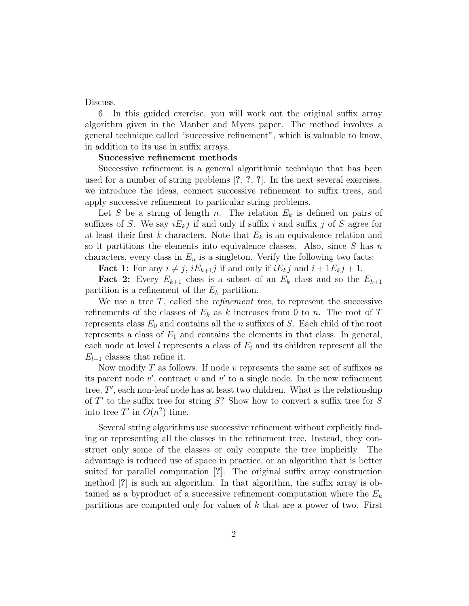Discuss.

6. In this guided exercise, you will work out the original suffix array algorithm given in the Manber and Myers paper. The method involves a general technique called "successive refinement", which is valuable to know, in addition to its use in suffix arrays.

## Successive refinement methods

Successive refinement is a general algorithmic technique that has been used for a number of string problems [?, ?, ?]. In the next several exercises, we introduce the ideas, connect successive refinement to suffix trees, and apply successive refinement to particular string problems.

Let S be a string of length n. The relation  $E_k$  is defined on pairs of suffixes of S. We say  $iE_kj$  if and only if suffix i and suffix j of S agree for at least their first k characters. Note that  $E_k$  is an equivalence relation and so it partitions the elements into equivalence classes. Also, since  $S$  has n characters, every class in  $E_n$  is a singleton. Verify the following two facts:

**Fact 1:** For any  $i \neq j$ ,  $iE_{k+1}j$  if and only if  $iE_kj$  and  $i + 1E_kj + 1$ .

**Fact 2:** Every  $E_{k+1}$  class is a subset of an  $E_k$  class and so the  $E_{k+1}$ partition is a refinement of the  $E_k$  partition.

We use a tree  $T$ , called the *refinement tree*, to represent the successive refinements of the classes of  $E_k$  as k increases from 0 to n. The root of T represents class  $E_0$  and contains all the n suffixes of S. Each child of the root represents a class of  $E_1$  and contains the elements in that class. In general, each node at level l represents a class of  $E_l$  and its children represent all the  $E_{l+1}$  classes that refine it.

Now modify  $T$  as follows. If node  $v$  represents the same set of suffixes as its parent node  $v'$ , contract v and  $v'$  to a single node. In the new refinement tree, T', each non-leaf node has at least two children. What is the relationship of  $T'$  to the suffix tree for string  $S$ ? Show how to convert a suffix tree for  $S$ into tree T' in  $O(n^2)$  time.

Several string algorithms use successive refinement without explicitly finding or representing all the classes in the refinement tree. Instead, they construct only some of the classes or only compute the tree implicitly. The advantage is reduced use of space in practice, or an algorithm that is better suited for parallel computation [?]. The original suffix array construction method [?] is such an algorithm. In that algorithm, the suffix array is obtained as a byproduct of a successive refinement computation where the  $E_k$ partitions are computed only for values of  $k$  that are a power of two. First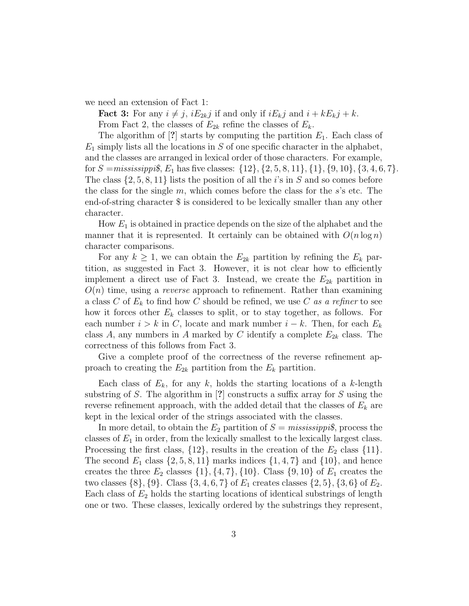we need an extension of Fact 1:

**Fact 3:** For any  $i \neq j$ ,  $iE_{2k}j$  if and only if  $iE_{k}j$  and  $i + kE_{k}j + k$ . From Fact 2, the classes of  $E_{2k}$  refine the classes of  $E_k$ .

The algorithm of [?] starts by computing the partition  $E_1$ . Each class of  $E_1$  simply lists all the locations in S of one specific character in the alphabet, and the classes are arranged in lexical order of those characters. For example, for  $S = mississippi\$ ,  $E_1$  has five classes:  $\{12\}$ ,  $\{2, 5, 8, 11\}$ ,  $\{1\}$ ,  $\{9, 10\}$ ,  $\{3, 4, 6, 7\}$ . The class  $\{2, 5, 8, 11\}$  lists the position of all the *i*'s in S and so comes before the class for the single  $m$ , which comes before the class for the  $s$ 's etc. The end-of-string character \$ is considered to be lexically smaller than any other character.

How  $E_1$  is obtained in practice depends on the size of the alphabet and the manner that it is represented. It certainly can be obtained with  $O(n \log n)$ character comparisons.

For any  $k \geq 1$ , we can obtain the  $E_{2k}$  partition by refining the  $E_k$  partition, as suggested in Fact 3. However, it is not clear how to efficiently implement a direct use of Fact 3. Instead, we create the  $E_{2k}$  partition in  $O(n)$  time, using a *reverse* approach to refinement. Rather than examining a class C of  $E_k$  to find how C should be refined, we use C as a refiner to see how it forces other  $E_k$  classes to split, or to stay together, as follows. For each number  $i > k$  in C, locate and mark number  $i - k$ . Then, for each  $E_k$ class A, any numbers in A marked by C identify a complete  $E_{2k}$  class. The correctness of this follows from Fact 3.

Give a complete proof of the correctness of the reverse refinement approach to creating the  $E_{2k}$  partition from the  $E_k$  partition.

Each class of  $E_k$ , for any k, holds the starting locations of a k-length substring of S. The algorithm in [?] constructs a suffix array for S using the reverse refinement approach, with the added detail that the classes of  $E_k$  are kept in the lexical order of the strings associated with the classes.

In more detail, to obtain the  $E_2$  partition of  $S = \text{missi}$ , process the classes of  $E_1$  in order, from the lexically smallest to the lexically largest class. Processing the first class,  $\{12\}$ , results in the creation of the  $E_2$  class  $\{11\}$ . The second  $E_1$  class  $\{2, 5, 8, 11\}$  marks indices  $\{1, 4, 7\}$  and  $\{10\}$ , and hence creates the three  $E_2$  classes  $\{1\}, \{4, 7\}, \{10\}$ . Class  $\{9, 10\}$  of  $E_1$  creates the two classes  $\{8\}, \{9\}$ . Class  $\{3, 4, 6, 7\}$  of  $E_1$  creates classes  $\{2, 5\}, \{3, 6\}$  of  $E_2$ . Each class of  $E_2$  holds the starting locations of identical substrings of length one or two. These classes, lexically ordered by the substrings they represent,